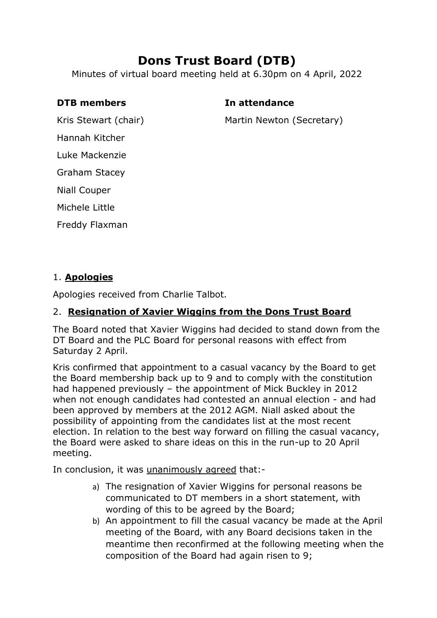# **Dons Trust Board (DTB)**

Minutes of virtual board meeting held at 6.30pm on 4 April, 2022

#### **DTB members In attendance**

Kris Stewart (chair)

Martin Newton (Secretary)

Hannah Kitcher

Luke Mackenzie

Graham Stacey

Niall Couper

Michele Little

Freddy Flaxman

### 1. **Apologies**

Apologies received from Charlie Talbot.

## 2. **Resignation of Xavier Wiggins from the Dons Trust Board**

The Board noted that Xavier Wiggins had decided to stand down from the DT Board and the PLC Board for personal reasons with effect from Saturday 2 April.

Kris confirmed that appointment to a casual vacancy by the Board to get the Board membership back up to 9 and to comply with the constitution had happened previously – the appointment of Mick Buckley in 2012 when not enough candidates had contested an annual election - and had been approved by members at the 2012 AGM. Niall asked about the possibility of appointing from the candidates list at the most recent election. In relation to the best way forward on filling the casual vacancy, the Board were asked to share ideas on this in the run-up to 20 April meeting.

In conclusion, it was unanimously agreed that:-

- a) The resignation of Xavier Wiggins for personal reasons be communicated to DT members in a short statement, with wording of this to be agreed by the Board;
- b) An appointment to fill the casual vacancy be made at the April meeting of the Board, with any Board decisions taken in the meantime then reconfirmed at the following meeting when the composition of the Board had again risen to 9;